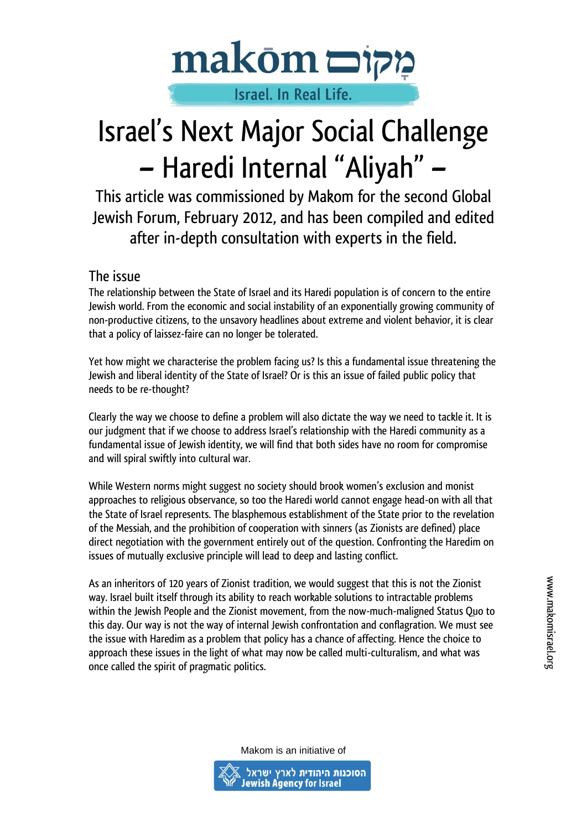

# Israel. In Real Life.

# Israel's Next Major Social Challenge – Haredi Internal "Aliyah" –

This article was commissioned by Makom for the second Global Jewish Forum, February 2012, and has been compiled and edited after in-depth consultation with experts in the field.

#### The issue

The relationship between the State of Israel and its Haredi population is of concern to the entire Jewish world. From the economic and social instability of an exponentially growing community of non-productive citizens, to the unsavory headlines about extreme and violent behavior, it is clear that a policy of laissez-faire can no longer be tolerated.

Yet how might we characterise the problem facing us? Is this a fundamental issue threatening the Jewish and liberal identity of the State of Israel? Or is this an issue of failed public policy that needs to be re-thought?

Clearly the way we choose to define a problem will also dictate the way we need to tackle it. It is our judgment that if we choose to address Israel's relationship with the Haredi community as a fundamental issue of Jewish identity, we will find that both sides have no room for compromise and will spiral swiftly into cultural war.

While Western norms might suggest no society should brook women's exclusion and monist approaches to religious observance, so too the Haredi world cannot engage head-on with all that the State of Israel represents. The blasphemous establishment of the State prior to the revelation of the Messiah, and the prohibition of cooperation with sinners (as Zionists are defined) place direct negotiation with the government entirely out of the question. Confronting the Haredim on issues of mutually exclusive principle will lead to deep and lasting conflict.

As an inheritors of 120 years of Zionist tradition, we would suggest that this is not the Zionist way. Israel built itself through its ability to reach workable solutions to intractable problems within the Jewish People and the Zionist movement, from the now-much-maligned Status Quo to this day. Our way is not the way of internal Jewish confrontation and conflagration. We must see the issue with Haredim as a problem that policy has a chance of affecting. Hence the choice to approach these issues in the light of what may now be called multi-culturalism, and what was once called the spirit of pragmatic politics.

www.makomisrael.org

Makom is an initiative of

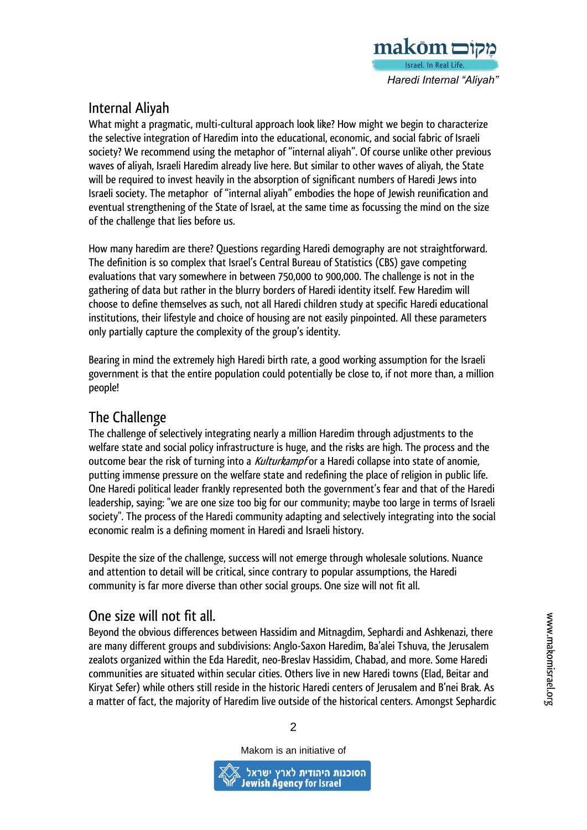

## Internal Aliyah

What might a pragmatic, multi-cultural approach look like? How might we begin to characterize the selective integration of Haredim into the educational, economic, and social fabric of Israeli society? We recommend using the metaphor of "internal aliyah". Of course unlike other previous waves of aliyah, Israeli Haredim already live here. But similar to other waves of aliyah, the State will be required to invest heavily in the absorption of significant numbers of Haredi Jews into Israeli society. The metaphor of "internal aliyah" embodies the hope of Jewish reunification and eventual strengthening of the State of Israel, at the same time as focussing the mind on the size of the challenge that lies before us.

How many haredim are there? Questions regarding Haredi demography are not straightforward. The definition is so complex that Israel's Central Bureau of Statistics (CBS) gave competing evaluations that vary somewhere in between 750,000 to 900,000. The challenge is not in the gathering of data but rather in the blurry borders of Haredi identity itself. Few Haredim will choose to define themselves as such, not all Haredi children study at specific Haredi educational institutions, their lifestyle and choice of housing are not easily pinpointed. All these parameters only partially capture the complexity of the group's identity.

Bearing in mind the extremely high Haredi birth rate, a good working assumption for the Israeli government is that the entire population could potentially be close to, if not more than, a million people!

### The Challenge

The challenge of selectively integrating nearly a million Haredim through adjustments to the welfare state and social policy infrastructure is huge, and the risks are high. The process and the outcome bear the risk of turning into a *Kulturkampf* or a Haredi collapse into state of anomie, putting immense pressure on the welfare state and redefining the place of religion in public life. One Haredi political leader frankly represented both the government's fear and that of the Haredi leadership, saying: "we are one size too big for our community; maybe too large in terms of Israeli society". The process of the Haredi community adapting and selectively integrating into the social economic realm is a defining moment in Haredi and Israeli history.

Despite the size of the challenge, success will not emerge through wholesale solutions. Nuance and attention to detail will be critical, since contrary to popular assumptions, the Haredi community is far more diverse than other social groups. One size will not fit all.

## One size will not fit all.

Beyond the obvious differences between Hassidim and Mitnagdim, Sephardi and Ashkenazi, there are many different groups and subdivisions: Anglo-Saxon Haredim, Ba'alei Tshuva, the Jerusalem zealots organized within the Eda Haredit, neo-Breslav Hassidim, Chabad, and more. Some Haredi communities are situated within secular cities. Others live in new Haredi towns (Elad, Beitar and Kiryat Sefer) while others still reside in the historic Haredi centers of Jerusalem and B'nei Brak. As a matter of fact, the majority of Haredim live outside of the historical centers. Amongst Sephardic

Makom is an initiative of

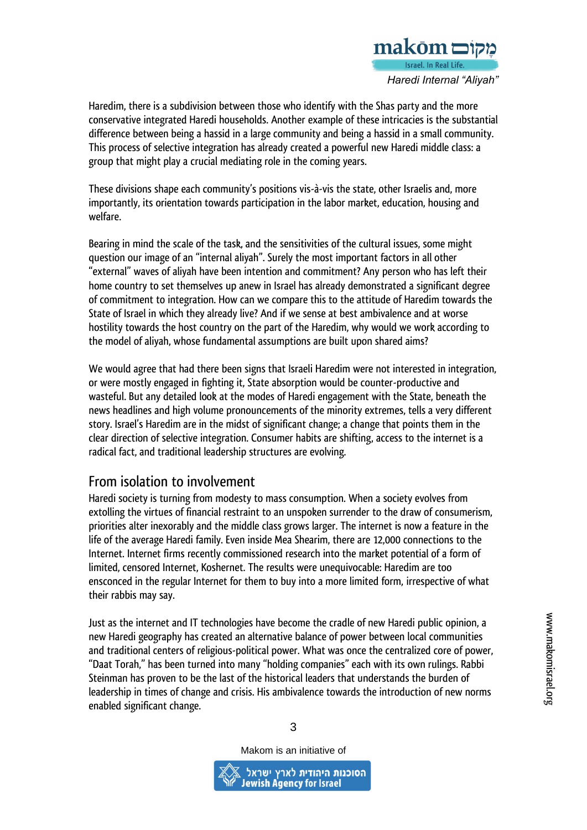

Haredim, there is a subdivision between those who identify with the Shas party and the more conservative integrated Haredi households. Another example of these intricacies is the substantial difference between being a hassid in a large community and being a hassid in a small community. This process of selective integration has already created a powerful new Haredi middle class: a group that might play a crucial mediating role in the coming years.

These divisions shape each community's positions vis-à-vis the state, other Israelis and, more importantly, its orientation towards participation in the labor market, education, housing and welfare.

Bearing in mind the scale of the task, and the sensitivities of the cultural issues, some might question our image of an "internal aliyah". Surely the most important factors in all other "external" waves of aliyah have been intention and commitment? Any person who has left their home country to set themselves up anew in Israel has already demonstrated a significant degree of commitment to integration. How can we compare this to the attitude of Haredim towards the State of Israel in which they already live? And if we sense at best ambivalence and at worse hostility towards the host country on the part of the Haredim, why would we work according to the model of aliyah, whose fundamental assumptions are built upon shared aims?

We would agree that had there been signs that Israeli Haredim were not interested in integration, or were mostly engaged in fighting it, State absorption would be counter-productive and wasteful. But any detailed look at the modes of Haredi engagement with the State, beneath the news headlines and high volume pronouncements of the minority extremes, tells a very different story. Israel's Haredim are in the midst of significant change; a change that points them in the clear direction of selective integration. Consumer habits are shifting, access to the internet is a radical fact, and traditional leadership structures are evolving.

#### From isolation to involvement

Haredi society is turning from modesty to mass consumption. When a society evolves from extolling the virtues of financial restraint to an unspoken surrender to the draw of consumerism, priorities alter inexorably and the middle class grows larger. The internet is now a feature in the life of the average Haredi family. Even inside Mea Shearim, there are 12,000 connections to the Internet. Internet firms recently commissioned research into the market potential of a form of limited, censored Internet, Koshernet. The results were unequivocable: Haredim are too ensconced in the regular Internet for them to buy into a more limited form, irrespective of what their rabbis may say.

Just as the internet and IT technologies have become the cradle of new Haredi public opinion, a new Haredi geography has created an alternative balance of power between local communities and traditional centers of religious-political power. What was once the centralized core of power, "Daat Torah," has been turned into many "holding companies" each with its own rulings. Rabbi Steinman has proven to be the last of the historical leaders that understands the burden of leadership in times of change and crisis. His ambivalence towards the introduction of new norms enabled significant change.

Makom is an initiative of

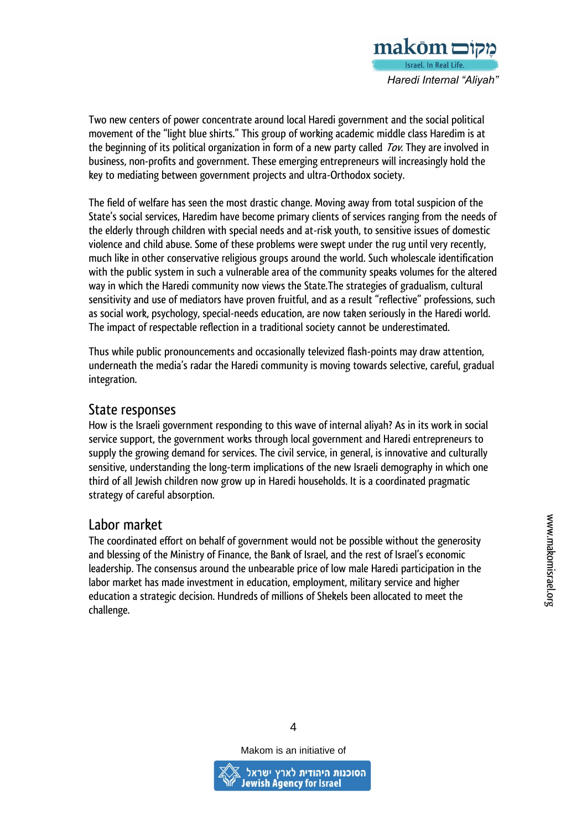

Two new centers of power concentrate around local Haredi government and the social political movement of the "light blue shirts." This group of working academic middle class Haredim is at the beginning of its political organization in form of a new party called *Tov*. They are involved in business, non-profits and government. These emerging entrepreneurs will increasingly hold the key to mediating between government projects and ultra-Orthodox society.

The field of welfare has seen the most drastic change. Moving away from total suspicion of the State's social services, Haredim have become primary clients of services ranging from the needs of the elderly through children with special needs and at-risk youth, to sensitive issues of domestic violence and child abuse. Some of these problems were swept under the rug until very recently, much like in other conservative religious groups around the world. Such wholescale identification with the public system in such a vulnerable area of the community speaks volumes for the altered way in which the Haredi community now views the State.The strategies of gradualism, cultural sensitivity and use of mediators have proven fruitful, and as a result "reflective" professions, such as social work, psychology, special-needs education, are now taken seriously in the Haredi world. The impact of respectable reflection in a traditional society cannot be underestimated.

Thus while public pronouncements and occasionally televized flash-points may draw attention, underneath the media's radar the Haredi community is moving towards selective, careful, gradual integration.

#### State responses

How is the Israeli government responding to this wave of internal aliyah? As in its work in social service support, the government works through local government and Haredi entrepreneurs to supply the growing demand for services. The civil service, in general, is innovative and culturally sensitive, understanding the long-term implications of the new Israeli demography in which one third of all Jewish children now grow up in Haredi households. It is a coordinated pragmatic strategy of careful absorption.

#### Labor market

The coordinated effort on behalf of government would not be possible without the generosity and blessing of the Ministry of Finance, the Bank of Israel, and the rest of Israel's economic leadership. The consensus around the unbearable price of low male Haredi participation in the labor market has made investment in education, employment, military service and higher education a strategic decision. Hundreds of millions of Shekels been allocated to meet the challenge.

Makom is an initiative of

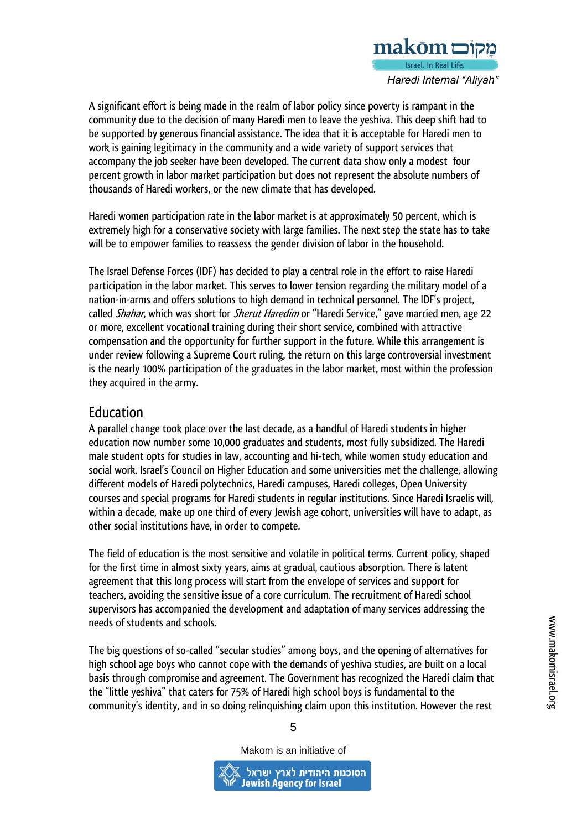

A significant effort is being made in the realm of labor policy since poverty is rampant in the community due to the decision of many Haredi men to leave the yeshiva. This deep shift had to be supported by generous financial assistance. The idea that it is acceptable for Haredi men to work is gaining legitimacy in the community and a wide variety of support services that accompany the job seeker have been developed. The current data show only a modest four percent growth in labor market participation but does not represent the absolute numbers of thousands of Haredi workers, or the new climate that has developed.

Haredi women participation rate in the labor market is at approximately 50 percent, which is extremely high for a conservative society with large families. The next step the state has to take will be to empower families to reassess the gender division of labor in the household.

The Israel Defense Forces (IDF) has decided to play a central role in the effort to raise Haredi participation in the labor market. This serves to lower tension regarding the military model of a nation-in-arms and offers solutions to high demand in technical personnel. The IDF's project, called Shahar, which was short for Sherut Haredim or "Haredi Service," gave married men, age 22 or more, excellent vocational training during their short service, combined with attractive compensation and the opportunity for further support in the future. While this arrangement is under review following a Supreme Court ruling, the return on this large controversial investment is the nearly 100% participation of the graduates in the labor market, most within the profession they acquired in the army.

#### Education

A parallel change took place over the last decade, as a handful of Haredi students in higher education now number some 10,000 graduates and students, most fully subsidized. The Haredi male student opts for studies in law, accounting and hi-tech, while women study education and social work. Israel's Council on Higher Education and some universities met the challenge, allowing different models of Haredi polytechnics, Haredi campuses, Haredi colleges, Open University courses and special programs for Haredi students in regular institutions. Since Haredi Israelis will, within a decade, make up one third of every Jewish age cohort, universities will have to adapt, as other social institutions have, in order to compete.

The field of education is the most sensitive and volatile in political terms. Current policy, shaped for the first time in almost sixty years, aims at gradual, cautious absorption. There is latent agreement that this long process will start from the envelope of services and support for teachers, avoiding the sensitive issue of a core curriculum. The recruitment of Haredi school supervisors has accompanied the development and adaptation of many services addressing the needs of students and schools.

The big questions of so-called "secular studies" among boys, and the opening of alternatives for high school age boys who cannot cope with the demands of yeshiva studies, are built on a local basis through compromise and agreement. The Government has recognized the Haredi claim that the "little yeshiva" that caters for 75% of Haredi high school boys is fundamental to the community's identity, and in so doing relinquishing claim upon this institution. However the rest

www.makomisrael.org

Makom is an initiative of

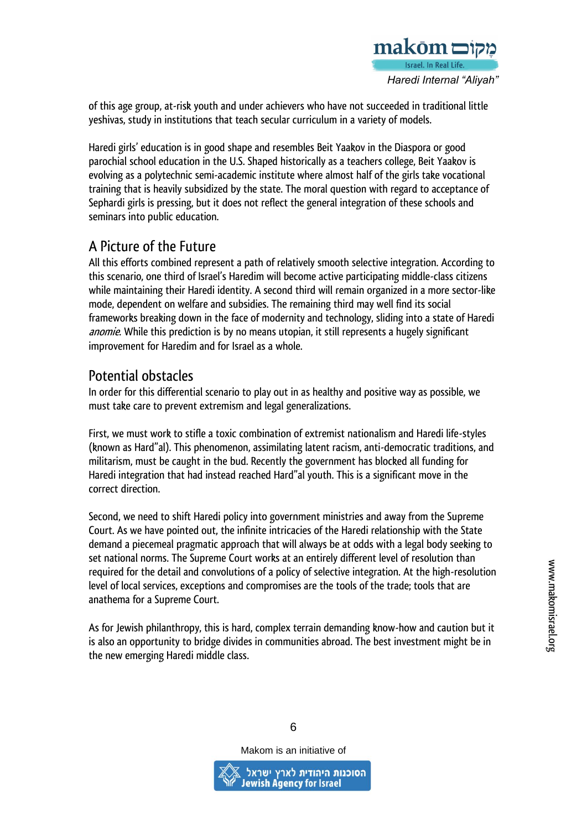

of this age group, at-risk youth and under achievers who have not succeeded in traditional little yeshivas, study in institutions that teach secular curriculum in a variety of models.

Haredi girls' education is in good shape and resembles Beit Yaakov in the Diaspora or good parochial school education in the U.S. Shaped historically as a teachers college, Beit Yaakov is evolving as a polytechnic semi-academic institute where almost half of the girls take vocational training that is heavily subsidized by the state. The moral question with regard to acceptance of Sephardi girls is pressing, but it does not reflect the general integration of these schools and seminars into public education.

## A Picture of the Future

All this efforts combined represent a path of relatively smooth selective integration. According to this scenario, one third of Israel's Haredim will become active participating middle-class citizens while maintaining their Haredi identity. A second third will remain organized in a more sector-like mode, dependent on welfare and subsidies. The remaining third may well find its social frameworks breaking down in the face of modernity and technology, sliding into a state of Haredi anomie. While this prediction is by no means utopian, it still represents a hugely significant improvement for Haredim and for Israel as a whole.

## Potential obstacles

In order for this differential scenario to play out in as healthy and positive way as possible, we must take care to prevent extremism and legal generalizations.

First, we must work to stifle a toxic combination of extremist nationalism and Haredi life-styles (known as Hard"al). This phenomenon, assimilating latent racism, anti-democratic traditions, and militarism, must be caught in the bud. Recently the government has blocked all funding for Haredi integration that had instead reached Hard"al youth. This is a significant move in the correct direction.

Second, we need to shift Haredi policy into government ministries and away from the Supreme Court. As we have pointed out, the infinite intricacies of the Haredi relationship with the State demand a piecemeal pragmatic approach that will always be at odds with a legal body seeking to set national norms. The Supreme Court works at an entirely different level of resolution than required for the detail and convolutions of a policy of selective integration. At the high-resolution level of local services, exceptions and compromises are the tools of the trade; tools that are anathema for a Supreme Court.

As for Jewish philanthropy, this is hard, complex terrain demanding know-how and caution but it is also an opportunity to bridge divides in communities abroad. The best investment might be in the new emerging Haredi middle class.

6

Makom is an initiative of